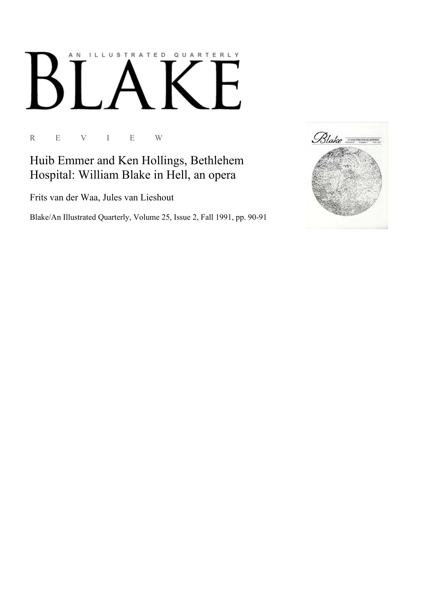## ILLUSTRATED QUARTERLY A N  $\boldsymbol{\mathsf{N}}$

R E V I E W

Huib Emmer and Ken Hollings, Bethlehem Hospital: William Blake in Hell, an opera

Frits van der Waa, Jules van Lieshout

Blake/An Illustrated Quarterly, Volume 25, Issue 2, Fall 1991, pp. 90-91

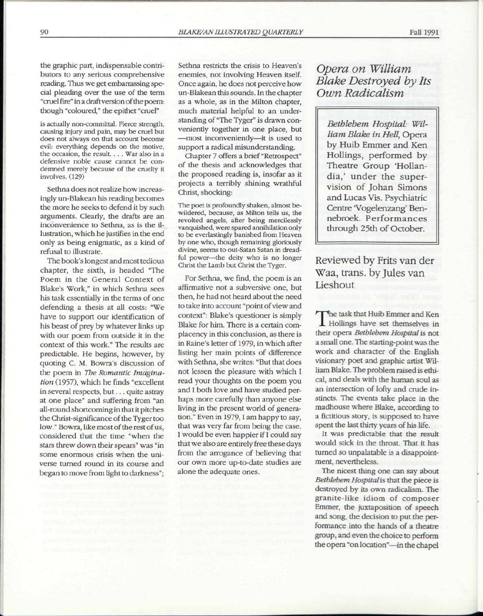the graphic part, indispensable contributors to any serious comprehensive reading. Thus we get embarrassing special pleading over the use of the term "cruel fire" in a draft version of the poem: though "coloured," the epithet "cruel"

is actually non-committal. Fierce strength, causing injury and pain, may be cruel but does not always on that account become evil: everything depends on the motive, the occasion, the result. . . . War also in a defensive noble cause cannot be condemned merely because of the cruelty it involves. (129)

Sethna does not realize how increasingly un-Blakean his reading becomes the more he seeks to defend it by such arguments. Clearly, the drafts are an inconvenience to Sethna, as is the illustration, which he justifies in the end only as being enigmatic, as a kind of refusal to illustrate.

The book's longest and most tedious chapter, the sixth, is headed "The Poem in the General Context of Blake's Work," in which Sethna sees his task essentially in the terms of one defending a thesis at all costs: "We have to support our identification of his beast of prey by whatever links up with our poem from outside it in the context of this work." The results are predictable. He begins, however, by quoting C. M. Bowra's discussion of the poem in *The Romantic Imagination* (1957), which he finds "excellent in several respects, but.. . quite astray at one place" and suffering from "an all-round shortcoming in that it pitches the Christ-significance of the Tyger too low." Bowra, like most of the rest of us, considered that the time "when the stars threw down their spears" was "in some enormous crisis when the universe turned round in its course and began to move from light to darkness";

Sethna restricts the crisis to Heaven's enemies, not involving Heaven itself. Once again, he does not perceive how un-Blakean this sounds. In the chapter as a whole, as in the Milton chapter, much material helpful to an understanding of "The Tyger" is drawn conveniently together in one place, but —most inconveniently—it is used to support a radical misunderstanding.

Chapter 7 offers a brief "Retrospect" of the thesis and acknowledges that the proposed reading is, insofar as it projects a terribly shining wrathful Christ, shocking:

The poet is profoundly shaken, almost bewildered, because, as Milton tells us, the revolted angels, after being mercilessly vanquished, were spared annihilation only to be everlastingly banished from Heaven by one who, though remaining gloriously divine, seems to out-Satan Satan in dreadful power—the deity who is no longer Christ the Lamb but Christ the Tyger.

For Sethna, we find, the poem is an affirmative not a subversive one, but then, he had not heard about the need to take into account "point of view and context": Blake's questioner is simply Blake for him. There is a certain complacency in this conclusion, as there is in Raine's letter of 1979, in which after listing her main points of difference with Sethna, she writes: "But that does not lessen the pleasure with which I read your thoughts on the poem you and I both love and have studied perhaps more carefully than anyone else living in the present world of generation." Even in 1979, I am happy to say, that was very far from being the case. I would be even happier if I could say that we also are entirely free these days from the arrogance of believing that our own more up-to-date studies are alone the adequate ones.

*Opera on William Blake Destroyed by Its Own Radicalism* 

*Bethlehem Hospital: William Blake in Hell,* Opera by Huib Emmer and Ken Hollings, performed by-Theatre Group 'Hollandia,' under the supervision of Johan Simons and Lucas Vis. Psychiatric Centre 'Vogelenzang' Bennebroek. Performances through 25th of October.

Reviewed by Frits van der Waa, trans, by Jules van Lieshout

The task that Huib Emmer and Ken<br>Hollings have set themselves in he task that Huib Emmer and Ken their opera *Bethlehem Hospital* is not a small one. The starting-point was the work and character of the English visionary poet and graphic artist William Blake. The problem raised is ethical, and deals with the human soul as an intersection of lofty and crude instincts. The events take place in the madhouse where Blake, according to a fictitious story, is supposed to have spent the last thirty years of his life.

It was predictable that the result would stick in the throat. That it has turned so unpalatable is a disappointment, nevertheless.

The nicest thing one can say about *Bethlehem Hospital is* that the piece is destroyed by its own radicalism. The granite-like idiom of composer Emmer, the juxtaposition of speech and song, the decision to put the performance into the hands of a theatre group, and even the choice to perform the opera "on location"—in the chapel